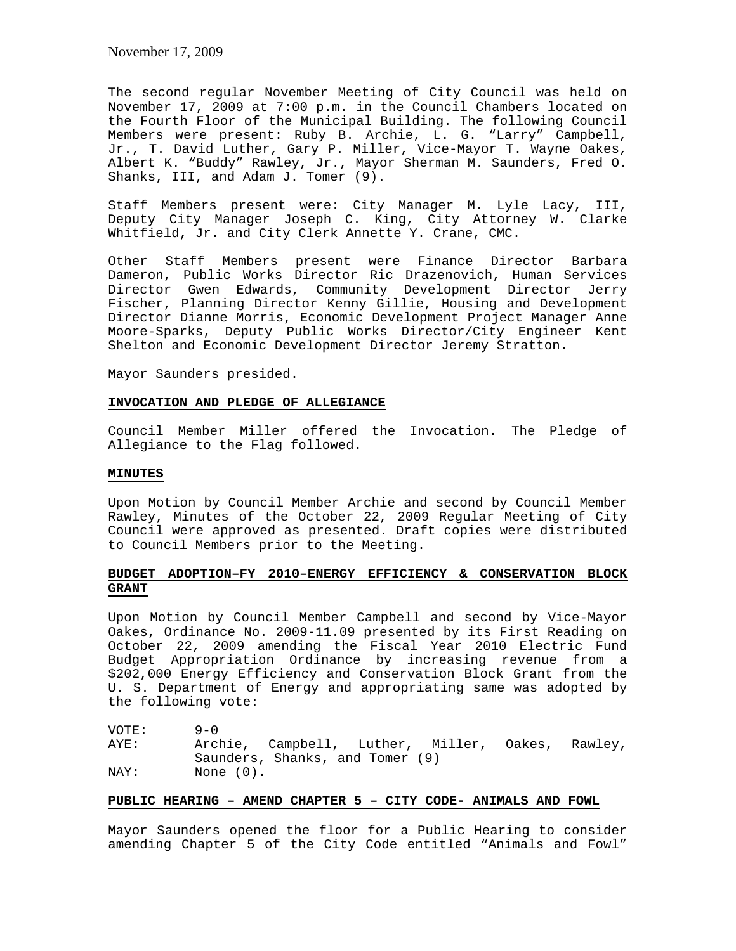November 17, 2009

The second regular November Meeting of City Council was held on November 17, 2009 at 7:00 p.m. in the Council Chambers located on the Fourth Floor of the Municipal Building. The following Council Members were present: Ruby B. Archie, L. G. "Larry" Campbell, Jr., T. David Luther, Gary P. Miller, Vice-Mayor T. Wayne Oakes, Albert K. "Buddy" Rawley, Jr., Mayor Sherman M. Saunders, Fred O. Shanks, III, and Adam J. Tomer (9).

Staff Members present were: City Manager M. Lyle Lacy, III, Deputy City Manager Joseph C. King, City Attorney W. Clarke Whitfield, Jr. and City Clerk Annette Y. Crane, CMC.

Other Staff Members present were Finance Director Barbara Dameron, Public Works Director Ric Drazenovich, Human Services Director Gwen Edwards, Community Development Director Jerry Fischer, Planning Director Kenny Gillie, Housing and Development Director Dianne Morris, Economic Development Project Manager Anne Moore-Sparks, Deputy Public Works Director/City Engineer Kent Shelton and Economic Development Director Jeremy Stratton.

Mayor Saunders presided.

#### **INVOCATION AND PLEDGE OF ALLEGIANCE**

Council Member Miller offered the Invocation. The Pledge of Allegiance to the Flag followed.

#### **MINUTES**

Upon Motion by Council Member Archie and second by Council Member Rawley, Minutes of the October 22, 2009 Regular Meeting of City Council were approved as presented. Draft copies were distributed to Council Members prior to the Meeting.

# **BUDGET ADOPTION–FY 2010–ENERGY EFFICIENCY & CONSERVATION BLOCK GRANT**

Upon Motion by Council Member Campbell and second by Vice-Mayor Oakes, Ordinance No. 2009-11.09 presented by its First Reading on October 22, 2009 amending the Fiscal Year 2010 Electric Fund Budget Appropriation Ordinance by increasing revenue from a \$202,000 Energy Efficiency and Conservation Block Grant from the U. S. Department of Energy and appropriating same was adopted by the following vote:

VOTE: 9-0 AYE: Archie, Campbell, Luther, Miller, Oakes, Rawley, Saunders, Shanks, and Tomer (9) NAY: None (0).

# **PUBLIC HEARING – AMEND CHAPTER 5 – CITY CODE- ANIMALS AND FOWL**

Mayor Saunders opened the floor for a Public Hearing to consider amending Chapter 5 of the City Code entitled "Animals and Fowl"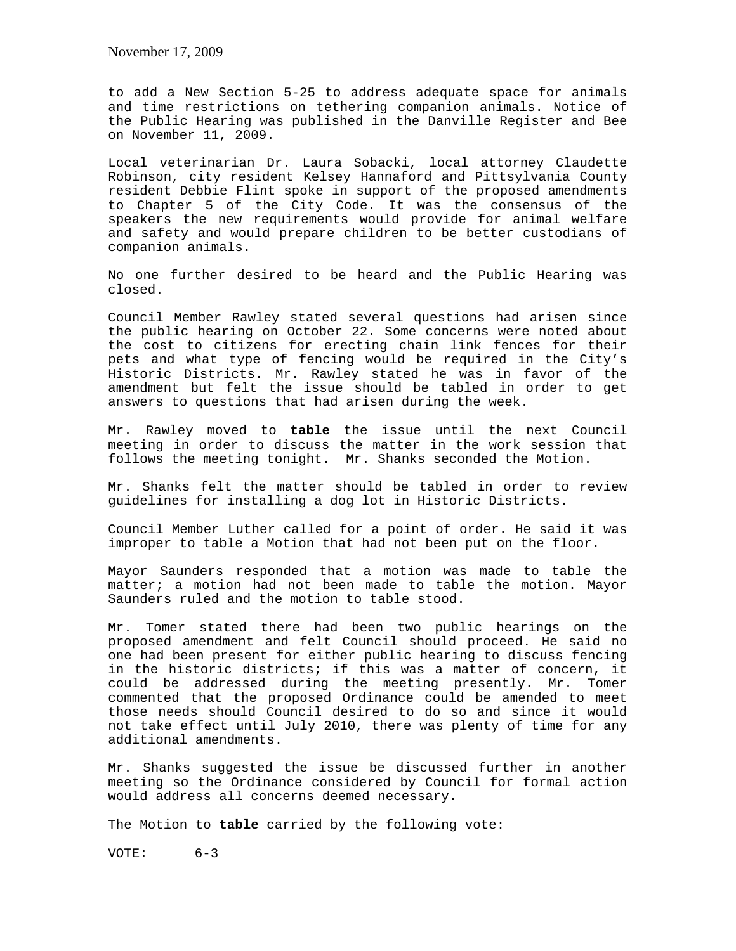to add a New Section 5-25 to address adequate space for animals and time restrictions on tethering companion animals. Notice of the Public Hearing was published in the Danville Register and Bee on November 11, 2009.

Local veterinarian Dr. Laura Sobacki, local attorney Claudette Robinson, city resident Kelsey Hannaford and Pittsylvania County resident Debbie Flint spoke in support of the proposed amendments to Chapter 5 of the City Code. It was the consensus of the speakers the new requirements would provide for animal welfare and safety and would prepare children to be better custodians of companion animals.

No one further desired to be heard and the Public Hearing was closed.

Council Member Rawley stated several questions had arisen since the public hearing on October 22. Some concerns were noted about the cost to citizens for erecting chain link fences for their pets and what type of fencing would be required in the City's Historic Districts. Mr. Rawley stated he was in favor of the amendment but felt the issue should be tabled in order to get answers to questions that had arisen during the week.

Mr. Rawley moved to **table** the issue until the next Council meeting in order to discuss the matter in the work session that follows the meeting tonight. Mr. Shanks seconded the Motion.

Mr. Shanks felt the matter should be tabled in order to review guidelines for installing a dog lot in Historic Districts.

Council Member Luther called for a point of order. He said it was improper to table a Motion that had not been put on the floor.

Mayor Saunders responded that a motion was made to table the matter; a motion had not been made to table the motion. Mayor Saunders ruled and the motion to table stood.

Mr. Tomer stated there had been two public hearings on the proposed amendment and felt Council should proceed. He said no one had been present for either public hearing to discuss fencing in the historic districts; if this was a matter of concern, it could be addressed during the meeting presently. Mr. Tomer commented that the proposed Ordinance could be amended to meet those needs should Council desired to do so and since it would not take effect until July 2010, there was plenty of time for any additional amendments.

Mr. Shanks suggested the issue be discussed further in another meeting so the Ordinance considered by Council for formal action would address all concerns deemed necessary.

The Motion to **table** carried by the following vote:

VOTE: 6-3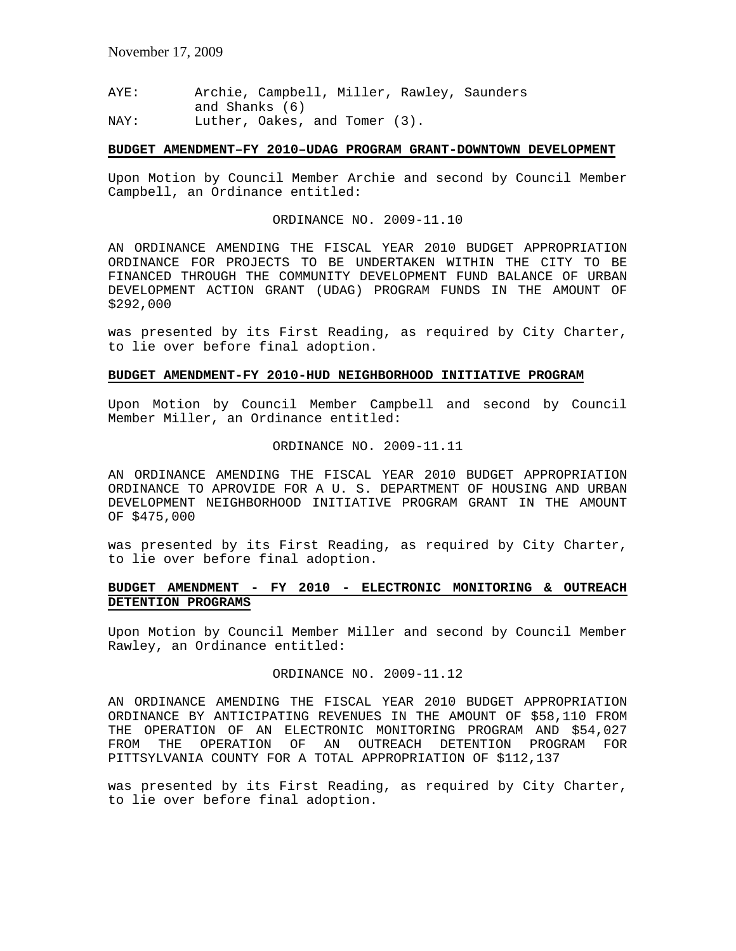AYE: Archie, Campbell, Miller, Rawley, Saunders and Shanks (6) NAY: Luther, Oakes, and Tomer (3).

#### **BUDGET AMENDMENT–FY 2010–UDAG PROGRAM GRANT-DOWNTOWN DEVELOPMENT**

Upon Motion by Council Member Archie and second by Council Member Campbell, an Ordinance entitled:

# ORDINANCE NO. 2009-11.10

AN ORDINANCE AMENDING THE FISCAL YEAR 2010 BUDGET APPROPRIATION ORDINANCE FOR PROJECTS TO BE UNDERTAKEN WITHIN THE CITY TO BE FINANCED THROUGH THE COMMUNITY DEVELOPMENT FUND BALANCE OF URBAN DEVELOPMENT ACTION GRANT (UDAG) PROGRAM FUNDS IN THE AMOUNT OF \$292,000

was presented by its First Reading, as required by City Charter, to lie over before final adoption.

### **BUDGET AMENDMENT-FY 2010-HUD NEIGHBORHOOD INITIATIVE PROGRAM**

Upon Motion by Council Member Campbell and second by Council Member Miller, an Ordinance entitled:

ORDINANCE NO. 2009-11.11

AN ORDINANCE AMENDING THE FISCAL YEAR 2010 BUDGET APPROPRIATION ORDINANCE TO APROVIDE FOR A U. S. DEPARTMENT OF HOUSING AND URBAN DEVELOPMENT NEIGHBORHOOD INITIATIVE PROGRAM GRANT IN THE AMOUNT OF \$475,000

was presented by its First Reading, as required by City Charter, to lie over before final adoption.

# **BUDGET AMENDMENT - FY 2010 - ELECTRONIC MONITORING & OUTREACH DETENTION PROGRAMS**

Upon Motion by Council Member Miller and second by Council Member Rawley, an Ordinance entitled:

# ORDINANCE NO. 2009-11.12

AN ORDINANCE AMENDING THE FISCAL YEAR 2010 BUDGET APPROPRIATION ORDINANCE BY ANTICIPATING REVENUES IN THE AMOUNT OF \$58,110 FROM THE OPERATION OF AN ELECTRONIC MONITORING PROGRAM AND \$54,027 FROM THE OPERATION OF AN OUTREACH DETENTION PROGRAM FOR PITTSYLVANIA COUNTY FOR A TOTAL APPROPRIATION OF \$112,137

was presented by its First Reading, as required by City Charter, to lie over before final adoption.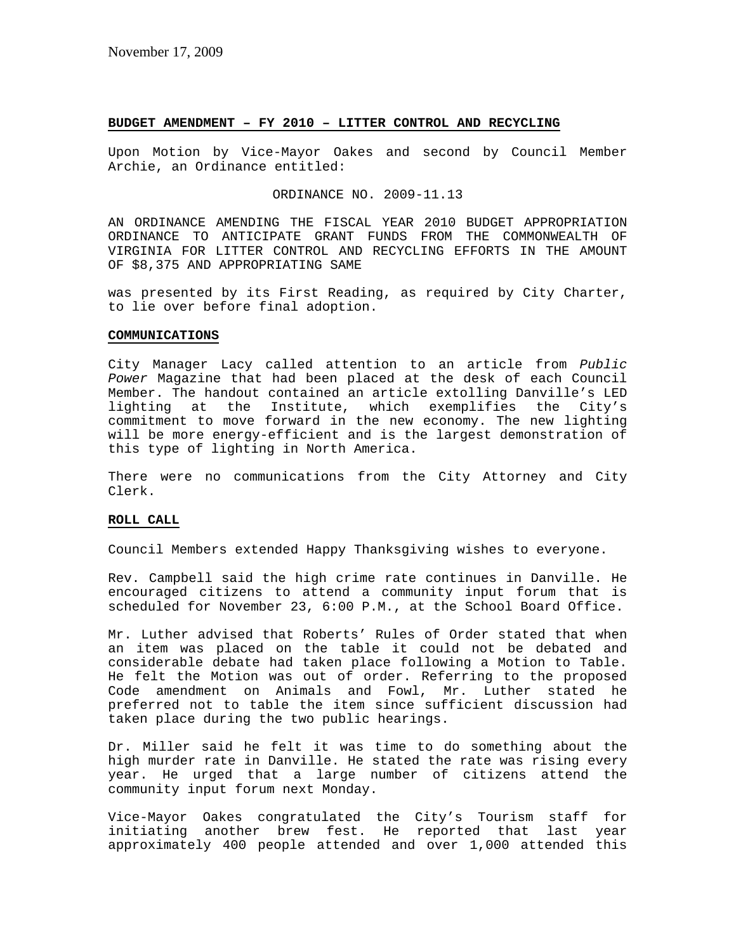#### **BUDGET AMENDMENT – FY 2010 – LITTER CONTROL AND RECYCLING**

Upon Motion by Vice-Mayor Oakes and second by Council Member Archie, an Ordinance entitled:

ORDINANCE NO. 2009-11.13

AN ORDINANCE AMENDING THE FISCAL YEAR 2010 BUDGET APPROPRIATION ORDINANCE TO ANTICIPATE GRANT FUNDS FROM THE COMMONWEALTH OF VIRGINIA FOR LITTER CONTROL AND RECYCLING EFFORTS IN THE AMOUNT OF \$8,375 AND APPROPRIATING SAME

was presented by its First Reading, as required by City Charter, to lie over before final adoption.

### **COMMUNICATIONS**

City Manager Lacy called attention to an article from *Public Power* Magazine that had been placed at the desk of each Council Member. The handout contained an article extolling Danville's LED lighting at the Institute, which exemplifies the City's commitment to move forward in the new economy. The new lighting will be more energy-efficient and is the largest demonstration of this type of lighting in North America.

There were no communications from the City Attorney and City Clerk.

### **ROLL CALL**

Council Members extended Happy Thanksgiving wishes to everyone.

Rev. Campbell said the high crime rate continues in Danville. He encouraged citizens to attend a community input forum that is scheduled for November 23, 6:00 P.M., at the School Board Office.

Mr. Luther advised that Roberts' Rules of Order stated that when an item was placed on the table it could not be debated and considerable debate had taken place following a Motion to Table. He felt the Motion was out of order. Referring to the proposed Code amendment on Animals and Fowl, Mr. Luther stated he preferred not to table the item since sufficient discussion had taken place during the two public hearings.

Dr. Miller said he felt it was time to do something about the high murder rate in Danville. He stated the rate was rising every year. He urged that a large number of citizens attend the community input forum next Monday.

Vice-Mayor Oakes congratulated the City's Tourism staff for initiating another brew fest. He reported that last year approximately 400 people attended and over 1,000 attended this